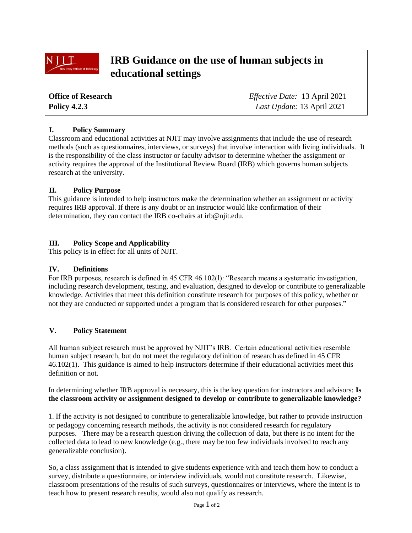# **IRB Guidance on the use of human subjects in educational settings**

| <b>Office of Research</b> | <i>Effective Date:</i> 13 April 2021 |
|---------------------------|--------------------------------------|
| <b>Policy 4.2.3</b>       | Last Update: 13 April 2021           |

# **I. Policy Summary**

NIIT

Classroom and educational activities at NJIT may involve assignments that include the use of research methods (such as questionnaires, interviews, or surveys) that involve interaction with living individuals. It is the responsibility of the class instructor or faculty advisor to determine whether the assignment or activity requires the approval of the Institutional Review Board (IRB) which governs human subjects research at the university.

#### **II. Policy Purpose**

This guidance is intended to help instructors make the determination whether an assignment or activity requires IRB approval. If there is any doubt or an instructor would like confirmation of their determination, they can contact the IRB co-chairs at irb@njit.edu.

# **III. Policy Scope and Applicability**

This policy is in effect for all units of NJIT.

#### **IV. Definitions**

For IRB purposes, research is defined in 45 CFR 46.102(l): "Research means a systematic investigation, including research development, testing, and evaluation, designed to develop or contribute to generalizable knowledge. Activities that meet this definition constitute research for purposes of this policy, whether or not they are conducted or supported under a program that is considered research for other purposes."

#### **V. Policy Statement**

All human subject research must be approved by NJIT's IRB. Certain educational activities resemble human subject research, but do not meet the regulatory definition of research as defined in 45 CFR 46.102(1). This guidance is aimed to help instructors determine if their educational activities meet this definition or not.

In determining whether IRB approval is necessary, this is the key question for instructors and advisors: **Is the classroom activity or assignment designed to develop or contribute to generalizable knowledge?**

1. If the activity is not designed to contribute to generalizable knowledge, but rather to provide instruction or pedagogy concerning research methods, the activity is not considered research for regulatory purposes. There may be a research question driving the collection of data, but there is no intent for the collected data to lead to new knowledge (e.g., there may be too few individuals involved to reach any generalizable conclusion).

So, a class assignment that is intended to give students experience with and teach them how to conduct a survey, distribute a questionnaire, or interview individuals, would not constitute research. Likewise, classroom presentations of the results of such surveys, questionnaires or interviews, where the intent is to teach how to present research results, would also not qualify as research.